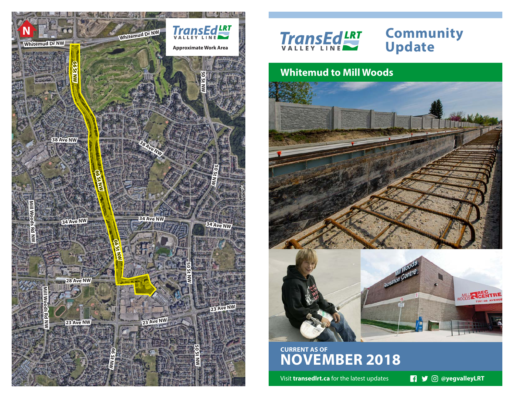



# **Update**

## **Whitemud to Mill Woods**



**CURRENT AS OF NOVEMBER 2018**

Visit **transedlrt.ca** for the latest updates **1999** © @yegvalleyLRT